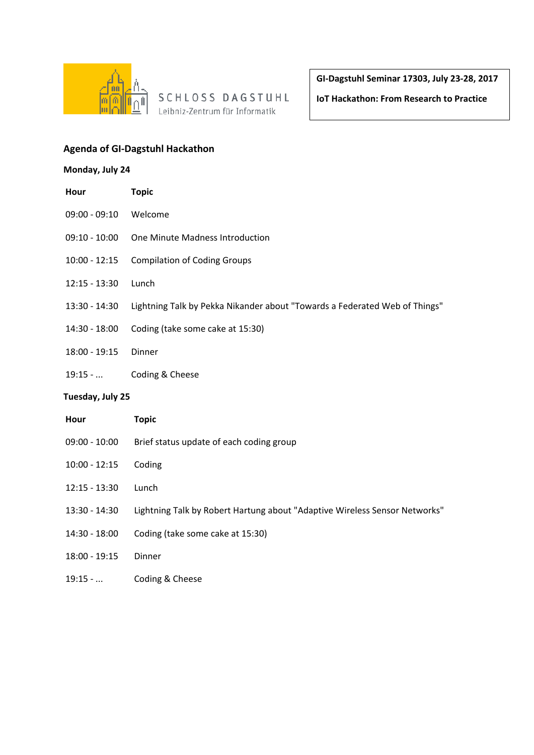

SCHLOSS DAGSTUHL Leibniz-Zentrum für Informatik

**GI-Dagstuhl Seminar 17303, July 23-28, 2017**

**IoT Hackathon: From Research to Practice**

## **Agenda of GI-Dagstuhl Hackathon**

## **Monday, July 24**

| Hour             | <b>Topic</b>                                                               |  |
|------------------|----------------------------------------------------------------------------|--|
| $09:00 - 09:10$  | Welcome                                                                    |  |
| $09:10 - 10:00$  | One Minute Madness Introduction                                            |  |
| $10:00 - 12:15$  | <b>Compilation of Coding Groups</b>                                        |  |
| $12:15 - 13:30$  | Lunch                                                                      |  |
| 13:30 - 14:30    | Lightning Talk by Pekka Nikander about "Towards a Federated Web of Things" |  |
| 14:30 - 18:00    | Coding (take some cake at 15:30)                                           |  |
| 18:00 - 19:15    | Dinner                                                                     |  |
| $19:15 - $       | Coding & Cheese                                                            |  |
| Tuesday, July 25 |                                                                            |  |
| Hour             | <b>Topic</b>                                                               |  |
| $09:00 - 10:00$  | Brief status update of each coding group                                   |  |
| $10:00 - 12:15$  | Coding                                                                     |  |
| $12:15 - 13:30$  | Lunch                                                                      |  |
| 13:30 - 14:30    | Lightning Talk by Robert Hartung about "Adaptive Wireless Sensor Networks" |  |
| 14:30 - 18:00    | Coding (take some cake at 15:30)                                           |  |
| 18:00 - 19:15    | Dinner                                                                     |  |
| $19:15 - $       | Coding & Cheese                                                            |  |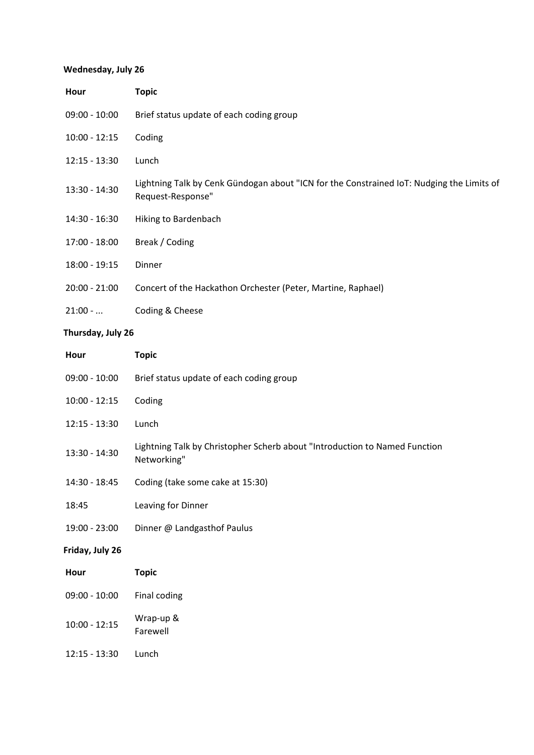## **Wednesday, July 26**

| Hour            | <b>Topic</b>                                                                                                   |
|-----------------|----------------------------------------------------------------------------------------------------------------|
| $09:00 - 10:00$ | Brief status update of each coding group                                                                       |
| $10:00 - 12:15$ | Coding                                                                                                         |
| $12:15 - 13:30$ | Lunch                                                                                                          |
| 13:30 - 14:30   | Lightning Talk by Cenk Gündogan about "ICN for the Constrained IoT: Nudging the Limits of<br>Request-Response" |
| 14:30 - 16:30   | Hiking to Bardenbach                                                                                           |
| 17:00 - 18:00   | Break / Coding                                                                                                 |
| $18:00 - 19:15$ | Dinner                                                                                                         |
| $20:00 - 21:00$ | Concert of the Hackathon Orchester (Peter, Martine, Raphael)                                                   |
| $21:00-.$       | Coding & Cheese                                                                                                |

# **Thursday, July 26**

| Hour            | <b>Topic</b>                                                                              |
|-----------------|-------------------------------------------------------------------------------------------|
| $09:00 - 10:00$ | Brief status update of each coding group                                                  |
| $10:00 - 12:15$ | Coding                                                                                    |
| $12:15 - 13:30$ | Lunch                                                                                     |
| 13:30 - 14:30   | Lightning Talk by Christopher Scherb about "Introduction to Named Function<br>Networking" |
| 14:30 - 18:45   | Coding (take some cake at 15:30)                                                          |
| 18:45           | Leaving for Dinner                                                                        |
| 19:00 - 23:00   | Dinner @ Landgasthof Paulus                                                               |
| Friday, July 26 |                                                                                           |
| Hour            | <b>Topic</b>                                                                              |
| $09:00 - 10:00$ | Final coding                                                                              |
| $10:00 - 12:15$ | Wrap-up &<br>Farewell                                                                     |
| $12:15 - 13:30$ | Lunch                                                                                     |